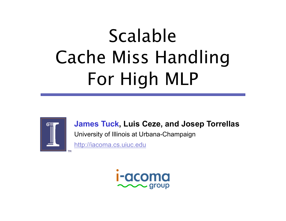# Scalable Cache Miss Handling For High MLP



**James Tuck, Luis Ceze, and Josep Torrellas** 

University of Illinois at Urbana-Champaign

http://iacoma.cs.uiuc.edu

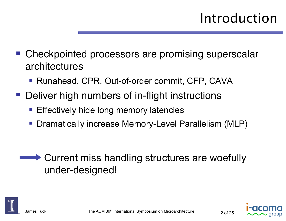- Checkpointed processors are promising superscalar architectures
	- Runahead, CPR, Out-of-order commit, CFP, CAVA
- Deliver high numbers of in-flight instructions
	- **Effectively hide long memory latencies**
	- Dramatically increase Memory-Level Parallelism (MLP)

**► Current miss handling structures are woefully** under-designed!



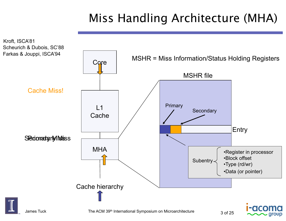#### Miss Handling Architecture (MHA)

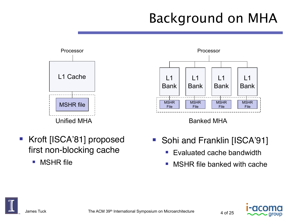# Background on MHA



- Kroft [ISCA'81] proposed first non-blocking cache
	- **NSHR** file





- Sohi and Franklin [ISCA'91]
	- **Evaluated cache bandwidth**
	- MSHR file banked with cache



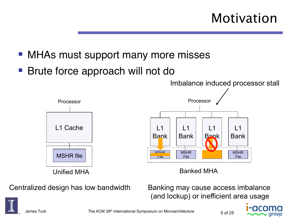## Motivation

- MHAs must support many more misses
- Brute force approach will not do



Centralized design has low bandwidth Banking may cause access imbalance

(and lockup) or inefficient area usage



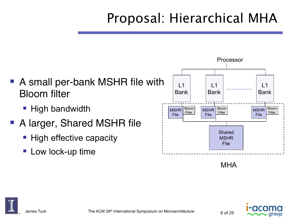# Proposal: Hierarchical MHA



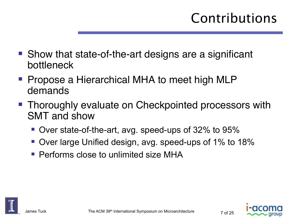- Show that state-of-the-art designs are a significant bottleneck
- Propose a Hierarchical MHA to meet high MLP demands
- Thoroughly evaluate on Checkpointed processors with SMT and show
	- Over state-of-the-art, avg. speed-ups of 32% to 95%
	- Over large Unified design, avg. speed-ups of 1% to 18%
	- Performs close to unlimited size MHA



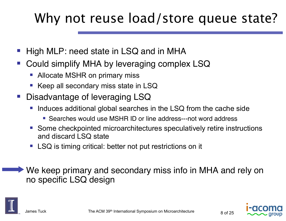# Why not reuse load/store queue state?

- High MLP: need state in LSQ and in MHA
- Could simplify MHA by leveraging complex LSQ
	- Allocate MSHR on primary miss
	- Keep all secondary miss state in LSQ
- Disadvantage of leveraging LSQ
	- Induces additional global searches in the LSQ from the cache side
		- Searches would use MSHR ID or line address---not word address
	- Some checkpointed microarchitectures speculatively retire instructions and discard LSQ state
	- LSQ is timing critical: better not put restrictions on it

 We keep primary and secondary miss info in MHA and rely on no specific LSQ design



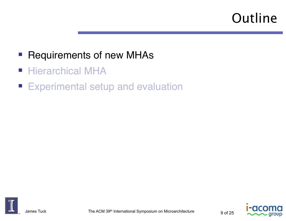# **Outline**

- **Requirements of new MHAs**
- **Hierarchical MHA**
- **Experimental setup and evaluation**



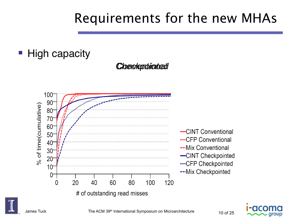## Requirements for the new MHAs

#### High capacity





-CINT Conventional .....CFP Conventional ---Mix Conventional -CINT Checkpointed .....CFP Checkpointed --- Mix Checkpointed

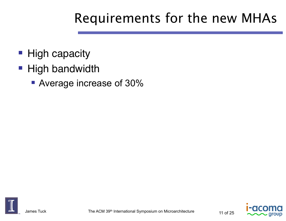# Requirements for the new MHAs

- **High capacity**
- **High bandwidth** 
	- Average increase of 30%



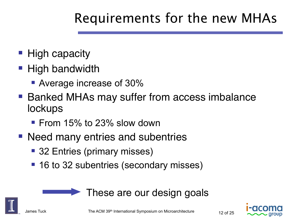# Requirements for the new MHAs

- **High capacity**
- High bandwidth
	- **Average increase of 30%**
- Banked MHAs may suffer from access imbalance **lockups** 
	- From 15% to 23% slow down
- Need many entries and subentries
	- 32 Entries (primary misses)
	- 16 to 32 subentries (secondary misses)



These are our design goals



James Tuck  $\rm _{12\,GHz}$  The ACM 39<sup>th</sup> International Symposium on Microarchitecture  $\rm _{12\,of\,25}$ 

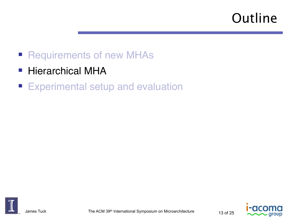# **Outline**

- **Requirements of new MHAs**
- Hierarchical MHA
- **Experimental setup and evaluation**





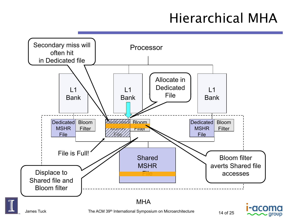# Hierarchical MHA

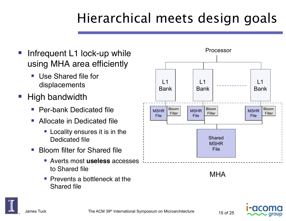# Hierarchical meets design goals

- Infrequent L1 lock-up while using MHA area efficiently
	- **Use Shared file for** displacements
- High bandwidth
	- Per-bank Dedicated file
	- **Allocate in Dedicated file** 
		- **Locality ensures it is in the** Dedicated file
	- **Bloom filter for Shared file** 
		- Averts most **useless** accesses to Shared file
		- **Prevents a bottleneck at the** Shared file





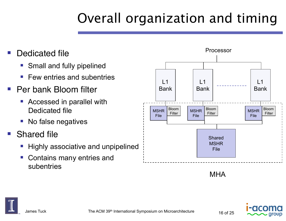# Overall organization and timing

- Dedicated file
	- Small and fully pipelined
	- Few entries and subentries
- Per bank Bloom filter
	- Accessed in parallel with Dedicated file
	- No false negatives
- Shared file
	- Highly associative and unpipelined
	- Contains many entries and subentries



MHA



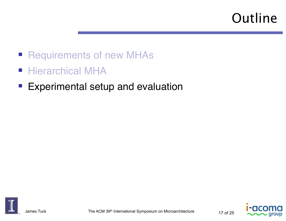# **Outline**

- Requirements of new MHAs
- **Hierarchical MHA**
- **Experimental setup and evaluation**



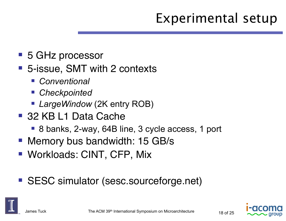# Experimental setup

- 5 GHz processor
- 5-issue, SMT with 2 contexts
	- *Conventional*
	- *Checkpointed*
	- *LargeWindow* (2K entry ROB)
- 32 KB L1 Data Cache
	- 8 banks, 2-way, 64B line, 3 cycle access, 1 port
- **Memory bus bandwidth: 15 GB/s**
- Workloads: CINT, CFP, Mix
- SESC simulator (sesc.sourceforge.net)



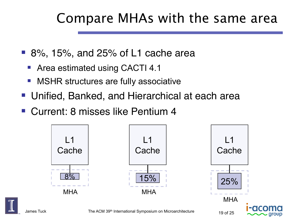### Compare MHAs with the same area

- 8%, 15%, and 25% of L1 cache area
	- Area estimated using CACTI 4.1
	- MSHR structures are fully associative
- Unified, Banked, and Hierarchical at each area
- Current: 8 misses like Pentium 4

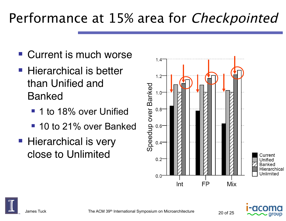# Performance at 15% area for Checkpointed

- Current is much worse
- Hierarchical is better than Unified and Banked
	- **1** 1 to 18% over Unified
	- 10 to 21% over Banked
- **Hierarchical is very** close to Unlimited





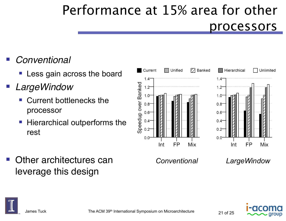# Performance at 15% area for other processors

- *Conventional*
	- **Less gain across the board**
- *LargeWindow*
	- Current bottlenecks the processor
	- **Hierarchical outperforms the** rest



 Other architectures can leverage this design

*Conventional LargeWindow* 



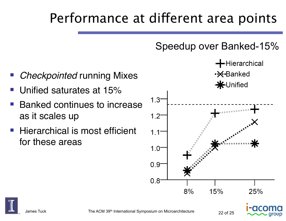# Performance at different area points

#### Speedup over Banked-15%



- *Checkpointed* running Mixes
- Unified saturates at 15%
- Banked continues to increase as it scales up
- **Hierarchical is most efficient** for these areas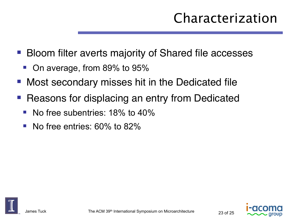# Characterization

- Bloom filter averts majority of Shared file accesses
	- On average, from 89% to 95%
- Most secondary misses hit in the Dedicated file
- Reasons for displacing an entry from Dedicated
	- No free subentries: 18% to 40%
	- No free entries: 60% to 82%



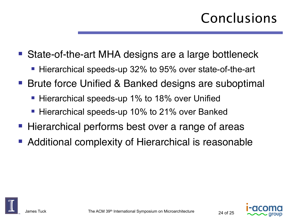# Conclusions

- State-of-the-art MHA designs are a large bottleneck
	- Hierarchical speeds-up 32% to 95% over state-of-the-art
- Brute force Unified & Banked designs are suboptimal
	- Hierarchical speeds-up 1% to 18% over Unified
	- Hierarchical speeds-up 10% to 21% over Banked
- Hierarchical performs best over a range of areas
- Additional complexity of Hierarchical is reasonable